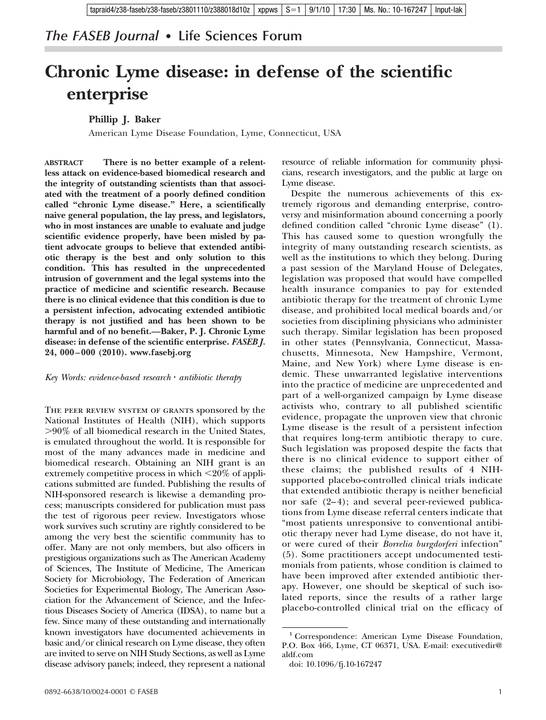## *The FASEB Journal* **• Life Sciences Forum**

## **Chronic Lyme disease: in defense of the scientific enterprise**

## **Phillip J. Baker**

American Lyme Disease Foundation, Lyme, Connecticut, USA

**ABSTRACT There is no better example of a relentless attack on evidence-based biomedical research and the integrity of outstanding scientists than that associated with the treatment of a poorly defined condition called "chronic Lyme disease." Here, a scientifically naive general population, the lay press, and legislators, who in most instances are unable to evaluate and judge scientific evidence properly, have been misled by patient advocate groups to believe that extended antibiotic therapy is the best and only solution to this condition. This has resulted in the unprecedented intrusion of government and the legal systems into the practice of medicine and scientific research. Because there is no clinical evidence that this condition is due to a persistent infection, advocating extended antibiotic therapy is not justified and has been shown to be harmful and of no benefit.—Baker, P. J. Chronic Lyme disease: in defense of the scientific enterprise.** *FASEB J.* **24, 000 – 000 (2010).<www.fasebj.org>**

*Key Words: evidence-based research antibiotic therapy*

THE PEER REVIEW SYSTEM OF GRANTS sponsored by the National Institutes of Health (NIH), which supports 90% of all biomedical research in the United States, is emulated throughout the world. It is responsible for most of the many advances made in medicine and biomedical research. Obtaining an NIH grant is an extremely competitive process in which  $\leq$ 20% of applications submitted are funded. Publishing the results of NIH-sponsored research is likewise a demanding process; manuscripts considered for publication must pass the test of rigorous peer review. Investigators whose work survives such scrutiny are rightly considered to be among the very best the scientific community has to offer. Many are not only members, but also officers in prestigious organizations such as The American Academy of Sciences, The Institute of Medicine, The American Society for Microbiology, The Federation of American Societies for Experimental Biology, The American Association for the Advancement of Science, and the Infectious Diseases Society of America (IDSA), to name but a few. Since many of these outstanding and internationally known investigators have documented achievements in basic and/or clinical research on Lyme disease, they often are invited to serve on NIH Study Sections, as well as Lyme disease advisory panels; indeed, they represent a national

resource of reliable information for community physicians, research investigators, and the public at large on Lyme disease.

Despite the numerous achievements of this extremely rigorous and demanding enterprise, controversy and misinformation abound concerning a poorly defined condition called "chronic Lyme disease" (1). This has caused some to question wrongfully the integrity of many outstanding research scientists, as well as the institutions to which they belong. During a past session of the Maryland House of Delegates, legislation was proposed that would have compelled health insurance companies to pay for extended antibiotic therapy for the treatment of chronic Lyme disease, and prohibited local medical boards and/or societies from disciplining physicians who administer such therapy. Similar legislation has been proposed in other states (Pennsylvania, Connecticut, Massachusetts, Minnesota, New Hampshire, Vermont, Maine, and New York) where Lyme disease is endemic. These unwarranted legislative interventions into the practice of medicine are unprecedented and part of a well-organized campaign by Lyme disease activists who, contrary to all published scientific evidence, propagate the unproven view that chronic Lyme disease is the result of a persistent infection that requires long-term antibiotic therapy to cure. Such legislation was proposed despite the facts that there is no clinical evidence to support either of these claims; the published results of 4 NIHsupported placebo-controlled clinical trials indicate that extended antibiotic therapy is neither beneficial nor safe (2-4); and several peer-reviewed publications from Lyme disease referral centers indicate that "most patients unresponsive to conventional antibiotic therapy never had Lyme disease, do not have it, or were cured of their *Borrelia burgdorferi* infection" (5). Some practitioners accept undocumented testimonials from patients, whose condition is claimed to have been improved after extended antibiotic therapy. However, one should be skeptical of such isolated reports, since the results of a rather large placebo-controlled clinical trial on the efficacy of

<sup>&</sup>lt;sup>1</sup> Correspondence: American Lyme Disease Foundation, P.O. Box 466, Lyme, CT 06371, USA. E-mail: executivedir@ aldf.com

doi: 10.1096/fj.10-167247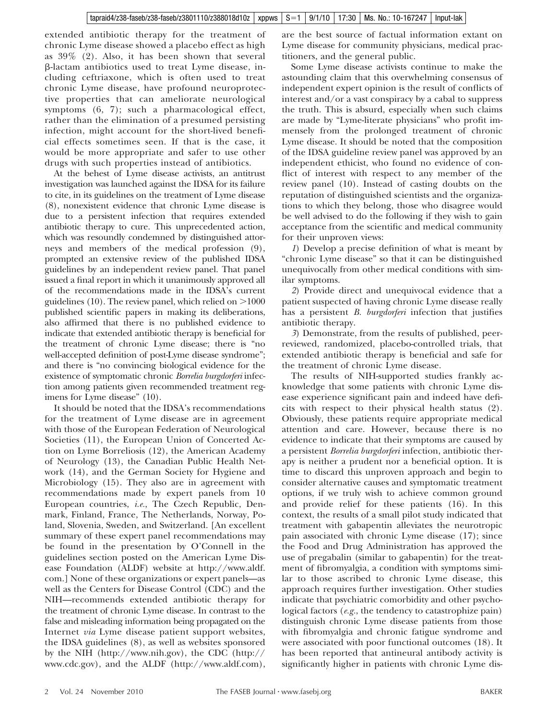extended antibiotic therapy for the treatment of chronic Lyme disease showed a placebo effect as high as 39% (2). Also, it has been shown that several -lactam antibiotics used to treat Lyme disease, including ceftriaxone, which is often used to treat chronic Lyme disease, have profound neuroprotective properties that can ameliorate neurological symptoms (6, 7); such a pharmacological effect, rather than the elimination of a presumed persisting infection, might account for the short-lived beneficial effects sometimes seen. If that is the case, it would be more appropriate and safer to use other drugs with such properties instead of antibiotics.

At the behest of Lyme disease activists, an antitrust investigation was launched against the IDSA for its failure to cite, in its guidelines on the treatment of Lyme disease (8), nonexistent evidence that chronic Lyme disease is due to a persistent infection that requires extended antibiotic therapy to cure. This unprecedented action, which was resoundly condemned by distinguished attorneys and members of the medical profession (9), prompted an extensive review of the published IDSA guidelines by an independent review panel. That panel issued a final report in which it unanimously approved all of the recommendations made in the IDSA's current guidelines (10). The review panel, which relied on  $>1000$ published scientific papers in making its deliberations, also affirmed that there is no published evidence to indicate that extended antibiotic therapy is beneficial for the treatment of chronic Lyme disease; there is "no well-accepted definition of post-Lyme disease syndrome"; and there is "no convincing biological evidence for the existence of symptomatic chronic *Borrelia burgdorferi* infection among patients given recommended treatment regimens for Lyme disease" (10).

It should be noted that the IDSA's recommendations for the treatment of Lyme disease are in agreement with those of the European Federation of Neurological Societies (11), the European Union of Concerted Action on Lyme Borreliosis (12), the American Academy of Neurology (13), the Canadian Public Health Network (14), and the German Society for Hygiene and Microbiology (15). They also are in agreement with recommendations made by expert panels from 10 European countries, *i.e.*, The Czech Republic, Denmark, Finland, France, The Netherlands, Norway, Poland, Slovenia, Sweden, and Switzerland. [An excellent summary of these expert panel recommendations may be found in the presentation by O'Connell in the guidelines section posted on the American Lyme Disease Foundation (ALDF) website at http://www.aldf. com.] None of these organizations or expert panels—as well as the Centers for Disease Control (CDC) and the NIH—recommends extended antibiotic therapy for the treatment of chronic Lyme disease. In contrast to the false and misleading information being propagated on the Internet *via* Lyme disease patient support websites, the IDSA guidelines (8), as well as websites sponsored by the NIH (http://www.nih.gov), the CDC (http:// www.cdc.gov), and the ALDF (http://www.aldf.com),

are the best source of factual information extant on Lyme disease for community physicians, medical practitioners, and the general public.

Some Lyme disease activists continue to make the astounding claim that this overwhelming consensus of independent expert opinion is the result of conflicts of interest and/or a vast conspiracy by a cabal to suppress the truth. This is absurd, especially when such claims are made by "Lyme-literate physicians" who profit immensely from the prolonged treatment of chronic Lyme disease. It should be noted that the composition of the IDSA guideline review panel was approved by an independent ethicist, who found no evidence of conflict of interest with respect to any member of the review panel (10). Instead of casting doubts on the reputation of distinguished scientists and the organizations to which they belong, those who disagree would be well advised to do the following if they wish to gain acceptance from the scientific and medical community for their unproven views:

*1*) Develop a precise definition of what is meant by "chronic Lyme disease" so that it can be distinguished unequivocally from other medical conditions with similar symptoms.

*2*) Provide direct and unequivocal evidence that a patient suspected of having chronic Lyme disease really has a persistent *B. burgdorferi* infection that justifies antibiotic therapy.

*3*) Demonstrate, from the results of published, peerreviewed, randomized, placebo-controlled trials, that extended antibiotic therapy is beneficial and safe for the treatment of chronic Lyme disease.

The results of NIH-supported studies frankly acknowledge that some patients with chronic Lyme disease experience significant pain and indeed have deficits with respect to their physical health status (2). Obviously, these patients require appropriate medical attention and care. However, because there is no evidence to indicate that their symptoms are caused by a persistent *Borrelia burgdorferi* infection, antibiotic therapy is neither a prudent nor a beneficial option. It is time to discard this unproven approach and begin to consider alternative causes and symptomatic treatment options, if we truly wish to achieve common ground and provide relief for these patients (16). In this context, the results of a small pilot study indicated that treatment with gabapentin alleviates the neurotropic pain associated with chronic Lyme disease (17); since the Food and Drug Administration has approved the use of pregabalin (similar to gabapentin) for the treatment of fibromyalgia, a condition with symptoms similar to those ascribed to chronic Lyme disease, this approach requires further investigation. Other studies indicate that psychiatric comorbidity and other psychological factors (*e.g.*, the tendency to catastrophize pain) distinguish chronic Lyme disease patients from those with fibromyalgia and chronic fatigue syndrome and were associated with poor functional outcomes (18). It has been reported that antineural antibody activity is significantly higher in patients with chronic Lyme dis-